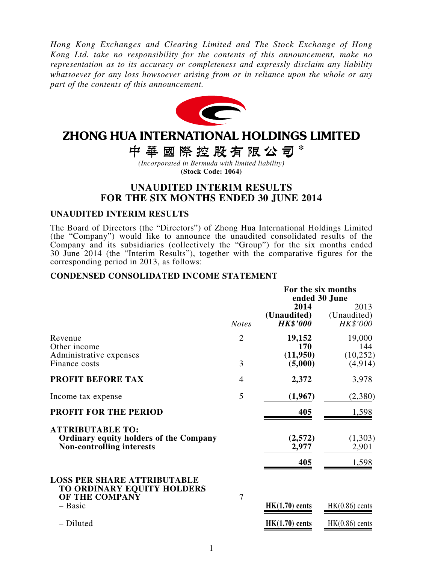*Hong Kong Exchanges and Clearing Limited and The Stock Exchange of Hong Kong Ltd. take no responsibility for the contents of this announcement, make no representation as to its accuracy or completeness and expressly disclaim any liability whatsoever for any loss howsoever arising from or in reliance upon the whole or any part of the contents of this announcement.*



# ZHONG HUA INTERNATIONAL HOLDINGS LIMITED

中華國際控股有限公司\*

*(Incorporated in Bermuda with limited liability)* **(Stock Code: 1064)**

### **UNAUDITED INTERIM RESULTS FOR THE SIX MONTHS ENDED 30 JUNE 2014**

#### **UNAUDITED INTERIM RESULTS**

The Board of Directors (the "Directors") of Zhong Hua International Holdings Limited (the "Company") would like to announce the unaudited consolidated results of the Company and its subsidiaries (collectively the "Group") for the six months ended 30 June 2014 (the "Interim Results"), together with the comparative figures for the corresponding period in 2013, as follows:

#### **CONDENSED CONSOLIDATED INCOME STATEMENT**

|                                                                                                              |                | For the six months<br>ended 30 June    |                                 |  |  |
|--------------------------------------------------------------------------------------------------------------|----------------|----------------------------------------|---------------------------------|--|--|
|                                                                                                              | <b>Notes</b>   | 2014<br>(Unaudited)<br><b>HK\$'000</b> | 2013<br>(Unaudited)<br>HK\$'000 |  |  |
| Revenue<br>Other income                                                                                      | $\overline{2}$ | 19,152<br>170                          | 19,000<br>144                   |  |  |
| Administrative expenses<br>Finance costs                                                                     | 3              | (11,950)<br>(5,000)                    | (10,252)<br>(4, 914)            |  |  |
| <b>PROFIT BEFORE TAX</b>                                                                                     | 4              | 2,372                                  | 3,978                           |  |  |
| Income tax expense                                                                                           | 5              | (1,967)                                | (2,380)                         |  |  |
| PROFIT FOR THE PERIOD                                                                                        |                | 405                                    | 1,598                           |  |  |
| <b>ATTRIBUTABLE TO:</b><br><b>Ordinary equity holders of the Company</b><br><b>Non-controlling interests</b> |                | (2,572)<br>2,977                       | (1,303)<br>2,901                |  |  |
|                                                                                                              |                | 405                                    | 1,598                           |  |  |
| <b>LOSS PER SHARE ATTRIBUTABLE</b><br>TO ORDINARY EQUITY HOLDERS<br>OF THE COMPANY                           | 7              |                                        |                                 |  |  |
| $-$ Basic                                                                                                    |                | $HK(1.70)$ cents                       | $HK(0.86)$ cents                |  |  |
| - Diluted                                                                                                    |                | $HK(1.70)$ cents                       | $HK(0.86)$ cents                |  |  |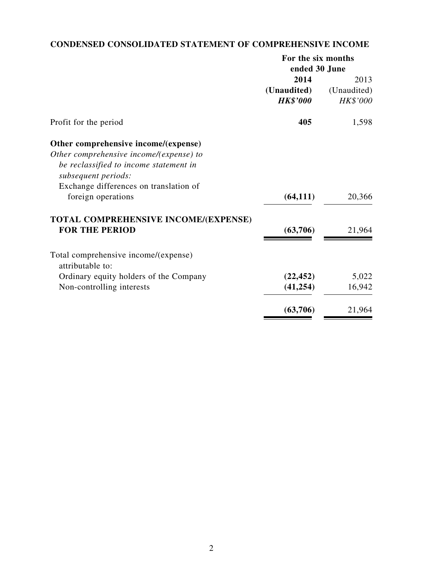# **CONDENSED CONSOLIDATED STATEMENT OF COMPREHENSIVE INCOME**

| For the six months |             |  |
|--------------------|-------------|--|
| ended 30 June      |             |  |
| 2014               | 2013        |  |
| (Unaudited)        | (Unaudited) |  |
| <b>HK\$'000</b>    | HK\$'000    |  |
| 405                | 1,598       |  |
|                    |             |  |
|                    |             |  |
|                    |             |  |
|                    |             |  |
|                    |             |  |
| (64, 111)          | 20,366      |  |
|                    |             |  |
| (63,706)           | 21,964      |  |
|                    |             |  |
|                    |             |  |
| (22, 452)          | 5,022       |  |
| (41, 254)          | 16,942      |  |
| (63,706)           | 21,964      |  |
|                    |             |  |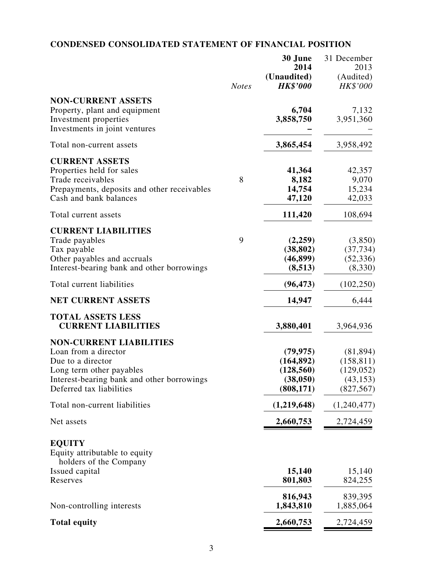# **CONDENSED CONSOLIDATED STATEMENT OF FINANCIAL POSITION**

|                                                                                                                                                                                   | <b>Notes</b> | 30 June<br>2014<br>(Unaudited)<br><b>HK\$'000</b>                | 31 December<br>2013<br>(Audited)<br>HK\$'000                     |
|-----------------------------------------------------------------------------------------------------------------------------------------------------------------------------------|--------------|------------------------------------------------------------------|------------------------------------------------------------------|
| <b>NON-CURRENT ASSETS</b><br>Property, plant and equipment<br>Investment properties<br>Investments in joint ventures                                                              |              | 6,704<br>3,858,750                                               | 7,132<br>3,951,360                                               |
| Total non-current assets                                                                                                                                                          |              | 3,865,454                                                        | 3,958,492                                                        |
| <b>CURRENT ASSETS</b><br>Properties held for sales<br>Trade receivables<br>Prepayments, deposits and other receivables<br>Cash and bank balances                                  | 8            | 41,364<br>8,182<br>14,754<br>47,120                              | 42,357<br>9,070<br>15,234<br>42,033                              |
| Total current assets                                                                                                                                                              |              | 111,420                                                          | 108,694                                                          |
| <b>CURRENT LIABILITIES</b><br>Trade payables<br>Tax payable<br>Other payables and accruals<br>Interest-bearing bank and other borrowings                                          | 9            | (2,259)<br>(38, 802)<br>(46, 899)<br>(8,513)                     | (3,850)<br>(37, 734)<br>(52, 336)<br>(8,330)                     |
| Total current liabilities                                                                                                                                                         |              | (96, 473)                                                        | (102, 250)                                                       |
| <b>NET CURRENT ASSETS</b>                                                                                                                                                         |              | 14,947                                                           | 6,444                                                            |
| <b>TOTAL ASSETS LESS</b><br><b>CURRENT LIABILITIES</b>                                                                                                                            |              | 3,880,401                                                        | 3,964,936                                                        |
| <b>NON-CURRENT LIABILITIES</b><br>Loan from a director<br>Due to a director<br>Long term other payables<br>Interest-bearing bank and other borrowings<br>Deferred tax liabilities |              | (79, 975)<br>(164, 892)<br>(128, 560)<br>(38, 050)<br>(808, 171) | (81, 894)<br>(158, 811)<br>(129, 052)<br>(43, 153)<br>(827, 567) |
| Total non-current liabilities                                                                                                                                                     |              | (1,219,648)                                                      | (1,240,477)                                                      |
| Net assets                                                                                                                                                                        |              | 2,660,753                                                        | 2,724,459                                                        |
| <b>EQUITY</b><br>Equity attributable to equity<br>holders of the Company                                                                                                          |              |                                                                  |                                                                  |
| Issued capital<br>Reserves                                                                                                                                                        |              | 15,140<br>801,803                                                | 15,140<br>824,255                                                |
| Non-controlling interests                                                                                                                                                         |              | 816,943<br>1,843,810                                             | 839,395<br>1,885,064                                             |
| <b>Total equity</b>                                                                                                                                                               |              | 2,660,753                                                        | 2,724,459                                                        |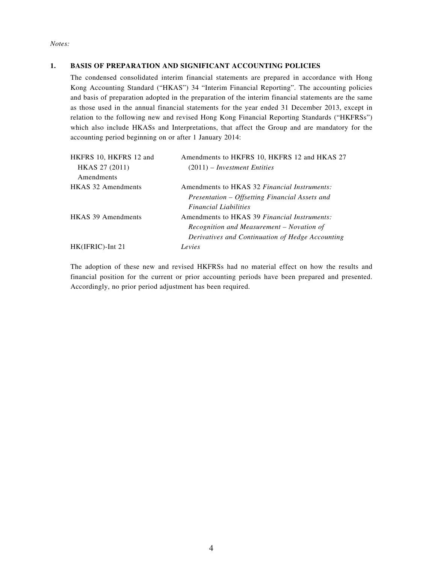*Notes:*

#### **1. BASIS OF PREPARATION AND SIGNIFICANT ACCOUNTING POLICIES**

The condensed consolidated interim financial statements are prepared in accordance with Hong Kong Accounting Standard ("HKAS") 34 "Interim Financial Reporting". The accounting policies and basis of preparation adopted in the preparation of the interim financial statements are the same as those used in the annual financial statements for the year ended 31 December 2013, except in relation to the following new and revised Hong Kong Financial Reporting Standards ("HKFRSs") which also include HKASs and Interpretations, that affect the Group and are mandatory for the accounting period beginning on or after 1 January 2014:

| HKFRS 10, HKFRS 12 and    | Amendments to HKFRS 10, HKFRS 12 and HKAS 27     |
|---------------------------|--------------------------------------------------|
| HKAS 27 (2011)            | $(2011)$ – Investment Entities                   |
| Amendments                |                                                  |
| HKAS 32 Amendments        | Amendments to HKAS 32 Financial Instruments:     |
|                           | Presentation – Offsetting Financial Assets and   |
|                           | <i>Financial Liabilities</i>                     |
| <b>HKAS 39 Amendments</b> | Amendments to HKAS 39 Financial Instruments:     |
|                           | Recognition and Measurement – Novation of        |
|                           | Derivatives and Continuation of Hedge Accounting |
| $HK(IFRIC)$ -Int 21       | Levies                                           |

The adoption of these new and revised HKFRSs had no material effect on how the results and financial position for the current or prior accounting periods have been prepared and presented. Accordingly, no prior period adjustment has been required.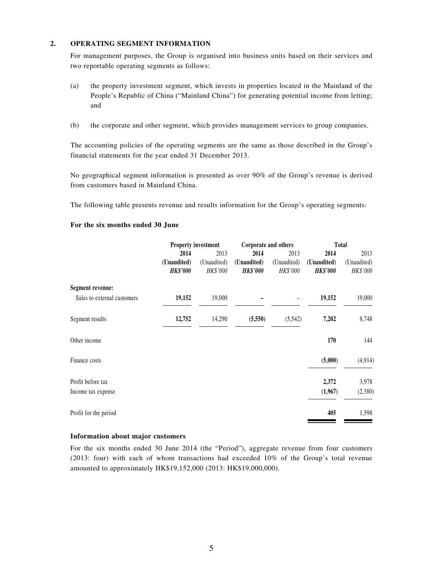#### **2. OPERATING SEGMENT INFORMATION**

For management purposes, the Group is organised into business units based on their services and two reportable operating segments as follows:

- (a) the property investment segment, which invests in properties located in the Mainland of the People's Republic of China ("Mainland China") for generating potential income from letting; and
- (b) the corporate and other segment, which provides management services to group companies.

The accounting policies of the operating segments are the same as those described in the Group's financial statements for the year ended 31 December 2013.

No geographical segment information is presented as over 90% of the Group's revenue is derived from customers based in Mainland China.

The following table presents revenue and results information for the Group's operating segments:

#### **For the six months ended 30 June**

|                             | <b>Property investment</b> |             | Corporate and others |             | <b>Total</b>    |             |
|-----------------------------|----------------------------|-------------|----------------------|-------------|-----------------|-------------|
|                             | 2014                       | 2013        | 2014                 | 2013        | 2014            | 2013        |
|                             | (Unaudited)                | (Unaudited) | (Unaudited)          | (Unaudited) | (Unaudited)     | (Unaudited) |
|                             | <b>HK\$'000</b>            | HK\$'000    | <b>HK\$'000</b>      | HK\$'000    | <b>HK\$'000</b> | HK\$'000    |
| <b>Segment revenue:</b>     |                            |             |                      |             |                 |             |
| Sales to external customers | 19,152                     | 19,000      |                      |             | 19,152          | 19,000      |
| Segment results             | 12,752                     | 14,290      | (5,550)              | (5,542)     | 7,202           | 8,748       |
| Other income                |                            |             |                      |             | 170             | 144         |
| Finance costs               |                            |             |                      |             | (5,000)         | (4, 914)    |
| Profit before tax           |                            |             |                      |             | 2,372           | 3,978       |
| Income tax expense          |                            |             |                      |             | (1,967)         | (2,380)     |
| Profit for the period       |                            |             |                      |             | 405             | 1,598       |

#### **Information about major customers**

For the six months ended 30 June 2014 (the "Period"), aggregate revenue from four customers (2013: four) with each of whom transactions had exceeded 10% of the Group's total revenue amounted to approximately HK\$19,152,000 (2013: HK\$19,000,000).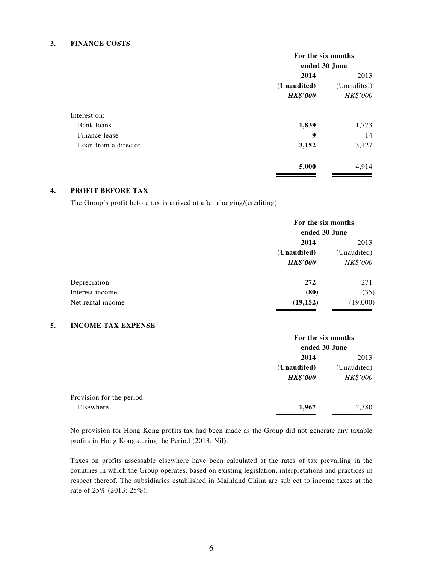#### **3. FINANCE COSTS**

|                      | For the six months         |          |  |
|----------------------|----------------------------|----------|--|
|                      | ended 30 June              |          |  |
|                      | 2014                       | 2013     |  |
|                      | (Unaudited)<br>(Unaudited) |          |  |
|                      | <b>HK\$'000</b>            | HK\$'000 |  |
| Interest on:         |                            |          |  |
| Bank loans           | 1,839                      | 1,773    |  |
| Finance lease        | 9                          | 14       |  |
| Loan from a director | 3,152                      | 3,127    |  |
|                      | 5,000                      | 4,914    |  |

#### **4. PROFIT BEFORE TAX**

The Group's profit before tax is arrived at after charging/(crediting):

|                   | For the six months<br>ended 30 June |          |  |
|-------------------|-------------------------------------|----------|--|
|                   | 2014                                | 2013     |  |
|                   | (Unaudited)<br>(Unaudited)          |          |  |
|                   | <b>HK\$'000</b>                     | HK\$'000 |  |
| Depreciation      | 272                                 | 271      |  |
| Interest income   | (80)                                | (35)     |  |
| Net rental income | (19, 152)                           | (19,000) |  |

#### **5. INCOME TAX EXPENSE**

|                           | For the six months |                 |  |
|---------------------------|--------------------|-----------------|--|
|                           | ended 30 June      |                 |  |
|                           | 2014               | 2013            |  |
|                           | (Unaudited)        | (Unaudited)     |  |
|                           | <b>HK\$'000</b>    | <b>HK\$'000</b> |  |
| Provision for the period: |                    |                 |  |
| Elsewhere                 | 1,967              | 2,380           |  |

No provision for Hong Kong profits tax had been made as the Group did not generate any taxable profits in Hong Kong during the Period (2013: Nil).

Taxes on profits assessable elsewhere have been calculated at the rates of tax prevailing in the countries in which the Group operates, based on existing legislation, interpretations and practices in respect thereof. The subsidiaries established in Mainland China are subject to income taxes at the rate of 25% (2013: 25%).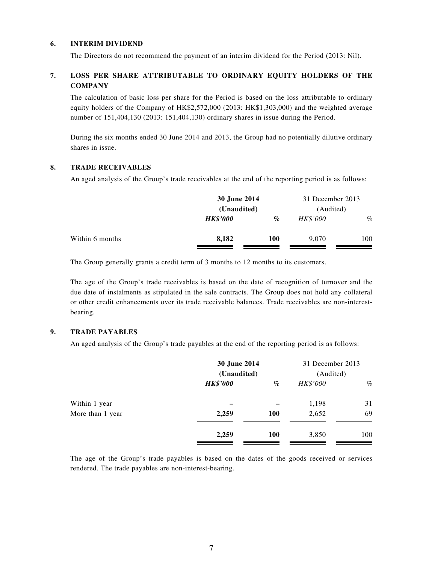#### **6. INTERIM DIVIDEND**

The Directors do not recommend the payment of an interim dividend for the Period (2013: Nil).

#### **7. LOSS PER SHARE ATTRIBUTABLE TO ORDINARY EQUITY HOLDERS OF THE COMPANY**

The calculation of basic loss per share for the Period is based on the loss attributable to ordinary equity holders of the Company of HK\$2,572,000 (2013: HK\$1,303,000) and the weighted average number of 151,404,130 (2013: 151,404,130) ordinary shares in issue during the Period.

During the six months ended 30 June 2014 and 2013, the Group had no potentially dilutive ordinary shares in issue.

#### **8. TRADE RECEIVABLES**

An aged analysis of the Group's trade receivables at the end of the reporting period is as follows:

|                 | 30 June 2014<br>(Unaudited) |            | 31 December 2013<br>(Audited) |      |
|-----------------|-----------------------------|------------|-------------------------------|------|
|                 |                             |            |                               |      |
|                 | <b>HK\$'000</b>             | $\%$       | <b>HK\$'000</b>               | $\%$ |
| Within 6 months | 8,182                       | <b>100</b> | 9.070                         | 100  |

The Group generally grants a credit term of 3 months to 12 months to its customers.

The age of the Group's trade receivables is based on the date of recognition of turnover and the due date of instalments as stipulated in the sale contracts. The Group does not hold any collateral or other credit enhancements over its trade receivable balances. Trade receivables are non-interestbearing.

#### **9. TRADE PAYABLES**

An aged analysis of the Group's trade payables at the end of the reporting period is as follows:

|                  |                 | 30 June 2014<br>(Unaudited) |          | 31 December 2013<br>(Audited) |
|------------------|-----------------|-----------------------------|----------|-------------------------------|
|                  | <b>HK\$'000</b> | $\%$                        | HK\$'000 | $\%$                          |
| Within 1 year    |                 |                             | 1,198    | 31                            |
| More than 1 year | 2,259           | 100                         | 2,652    | 69                            |
|                  | 2,259           | 100                         | 3,850    | 100                           |

The age of the Group's trade payables is based on the dates of the goods received or services rendered. The trade payables are non-interest-bearing.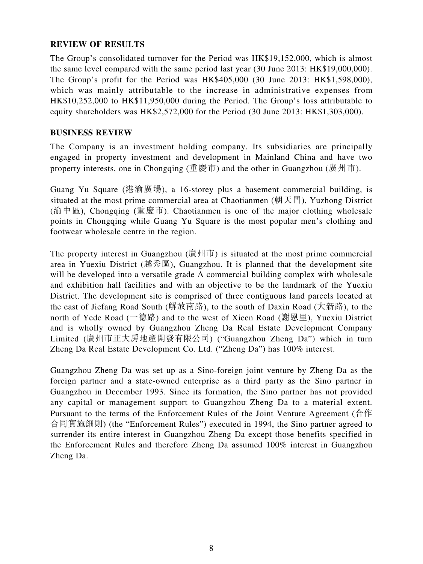### **REVIEW OF RESULTS**

The Group's consolidated turnover for the Period was HK\$19,152,000, which is almost the same level compared with the same period last year (30 June 2013: HK\$19,000,000). The Group's profit for the Period was HK\$405,000 (30 June 2013: HK\$1,598,000), which was mainly attributable to the increase in administrative expenses from HK\$10,252,000 to HK\$11,950,000 during the Period. The Group's loss attributable to equity shareholders was HK\$2,572,000 for the Period (30 June 2013: HK\$1,303,000).

#### **BUSINESS REVIEW**

The Company is an investment holding company. Its subsidiaries are principally engaged in property investment and development in Mainland China and have two property interests, one in Chongqing (重慶市) and the other in Guangzhou (廣州市).

Guang Yu Square (港渝廣場), a 16-storey plus a basement commercial building, is situated at the most prime commercial area at Chaotianmen (朝天門), Yuzhong District (渝中區), Chongqing (重慶市). Chaotianmen is one of the major clothing wholesale points in Chongqing while Guang Yu Square is the most popular men's clothing and footwear wholesale centre in the region.

The property interest in Guangzhou (廣州市) is situated at the most prime commercial area in Yuexiu District (越秀區), Guangzhou. It is planned that the development site will be developed into a versatile grade A commercial building complex with wholesale and exhibition hall facilities and with an objective to be the landmark of the Yuexiu District. The development site is comprised of three contiguous land parcels located at the east of Jiefang Road South (解放南路), to the south of Daxin Road (大新路), to the north of Yede Road (一德路) and to the west of Xieen Road (謝恩里), Yuexiu District and is wholly owned by Guangzhou Zheng Da Real Estate Development Company Limited (廣州市正大房地產開發有限公司) ("Guangzhou Zheng Da") which in turn Zheng Da Real Estate Development Co. Ltd. ("Zheng Da") has 100% interest.

Guangzhou Zheng Da was set up as a Sino-foreign joint venture by Zheng Da as the foreign partner and a state-owned enterprise as a third party as the Sino partner in Guangzhou in December 1993. Since its formation, the Sino partner has not provided any capital or management support to Guangzhou Zheng Da to a material extent. Pursuant to the terms of the Enforcement Rules of the Joint Venture Agreement (合作 合同實施細則) (the "Enforcement Rules") executed in 1994, the Sino partner agreed to surrender its entire interest in Guangzhou Zheng Da except those benefits specified in the Enforcement Rules and therefore Zheng Da assumed 100% interest in Guangzhou Zheng Da.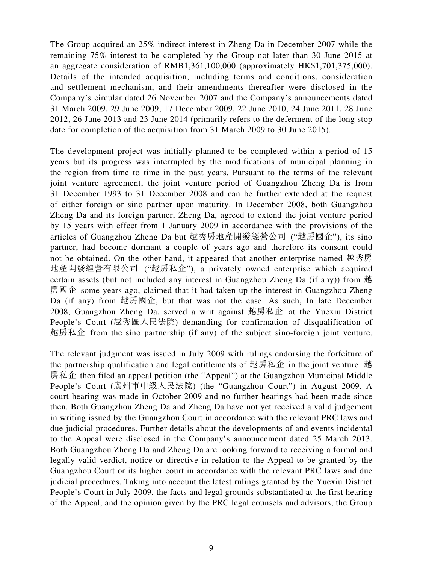The Group acquired an 25% indirect interest in Zheng Da in December 2007 while the remaining 75% interest to be completed by the Group not later than 30 June 2015 at an aggregate consideration of RMB1,361,100,000 (approximately HK\$1,701,375,000). Details of the intended acquisition, including terms and conditions, consideration and settlement mechanism, and their amendments thereafter were disclosed in the Company's circular dated 26 November 2007 and the Company's announcements dated 31 March 2009, 29 June 2009, 17 December 2009, 22 June 2010, 24 June 2011, 28 June 2012, 26 June 2013 and 23 June 2014 (primarily refers to the deferment of the long stop date for completion of the acquisition from 31 March 2009 to 30 June 2015).

The development project was initially planned to be completed within a period of 15 years but its progress was interrupted by the modifications of municipal planning in the region from time to time in the past years. Pursuant to the terms of the relevant joint venture agreement, the joint venture period of Guangzhou Zheng Da is from 31 December 1993 to 31 December 2008 and can be further extended at the request of either foreign or sino partner upon maturity. In December 2008, both Guangzhou Zheng Da and its foreign partner, Zheng Da, agreed to extend the joint venture period by 15 years with effect from 1 January 2009 in accordance with the provisions of the articles of Guangzhou Zheng Da but 越秀房地產開發經營公司 ("越房國企"), its sino partner, had become dormant a couple of years ago and therefore its consent could not be obtained. On the other hand, it appeared that another enterprise named 越秀房 地產開發經營有限公司 ("越房私企"), a privately owned enterprise which acquired certain assets (but not included any interest in Guangzhou Zheng Da (if any)) from 越 房國企 some years ago, claimed that it had taken up the interest in Guangzhou Zheng Da (if any) from 越房國企, but that was not the case. As such, In late December 2008, Guangzhou Zheng Da, served a writ against 越房私企 at the Yuexiu District People's Court (越秀區人民法院) demanding for confirmation of disqualification of 越房私企 from the sino partnership (if any) of the subject sino-foreign joint venture.

The relevant judgment was issued in July 2009 with rulings endorsing the forfeiture of the partnership qualification and legal entitlements of 越房私企 in the joint venture. 越 房私企 then filed an appeal petition (the "Appeal") at the Guangzhou Municipal Middle People's Court (廣州市中級人民法院) (the "Guangzhou Court") in August 2009. A court hearing was made in October 2009 and no further hearings had been made since then. Both Guangzhou Zheng Da and Zheng Da have not yet received a valid judgement in writing issued by the Guangzhou Court in accordance with the relevant PRC laws and due judicial procedures. Further details about the developments of and events incidental to the Appeal were disclosed in the Company's announcement dated 25 March 2013. Both Guangzhou Zheng Da and Zheng Da are looking forward to receiving a formal and legally valid verdict, notice or directive in relation to the Appeal to be granted by the Guangzhou Court or its higher court in accordance with the relevant PRC laws and due judicial procedures. Taking into account the latest rulings granted by the Yuexiu District People's Court in July 2009, the facts and legal grounds substantiated at the first hearing of the Appeal, and the opinion given by the PRC legal counsels and advisors, the Group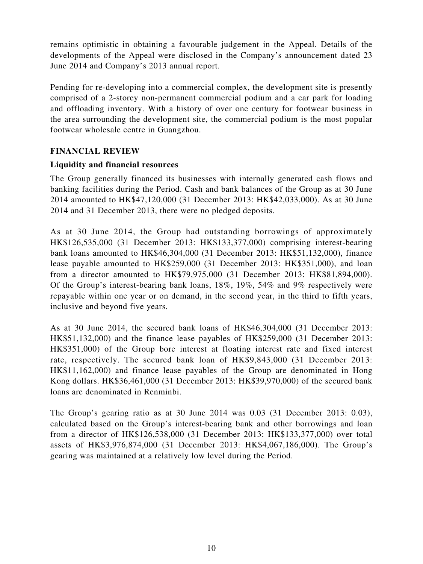remains optimistic in obtaining a favourable judgement in the Appeal. Details of the developments of the Appeal were disclosed in the Company's announcement dated 23 June 2014 and Company's 2013 annual report.

Pending for re-developing into a commercial complex, the development site is presently comprised of a 2-storey non-permanent commercial podium and a car park for loading and offloading inventory. With a history of over one century for footwear business in the area surrounding the development site, the commercial podium is the most popular footwear wholesale centre in Guangzhou.

### **FINANCIAL REVIEW**

### **Liquidity and financial resources**

The Group generally financed its businesses with internally generated cash flows and banking facilities during the Period. Cash and bank balances of the Group as at 30 June 2014 amounted to HK\$47,120,000 (31 December 2013: HK\$42,033,000). As at 30 June 2014 and 31 December 2013, there were no pledged deposits.

As at 30 June 2014, the Group had outstanding borrowings of approximately HK\$126,535,000 (31 December 2013: HK\$133,377,000) comprising interest-bearing bank loans amounted to HK\$46,304,000 (31 December 2013: HK\$51,132,000), finance lease payable amounted to HK\$259,000 (31 December 2013: HK\$351,000), and loan from a director amounted to HK\$79,975,000 (31 December 2013: HK\$81,894,000). Of the Group's interest-bearing bank loans, 18%, 19%, 54% and 9% respectively were repayable within one year or on demand, in the second year, in the third to fifth years, inclusive and beyond five years.

As at 30 June 2014, the secured bank loans of HK\$46,304,000 (31 December 2013: HK\$51,132,000) and the finance lease payables of HK\$259,000 (31 December 2013: HK\$351,000) of the Group bore interest at floating interest rate and fixed interest rate, respectively. The secured bank loan of HK\$9,843,000 (31 December 2013: HK\$11,162,000) and finance lease payables of the Group are denominated in Hong Kong dollars. HK\$36,461,000 (31 December 2013: HK\$39,970,000) of the secured bank loans are denominated in Renminbi.

The Group's gearing ratio as at 30 June 2014 was 0.03 (31 December 2013: 0.03), calculated based on the Group's interest-bearing bank and other borrowings and loan from a director of HK\$126,538,000 (31 December 2013: HK\$133,377,000) over total assets of HK\$3,976,874,000 (31 December 2013: HK\$4,067,186,000). The Group's gearing was maintained at a relatively low level during the Period.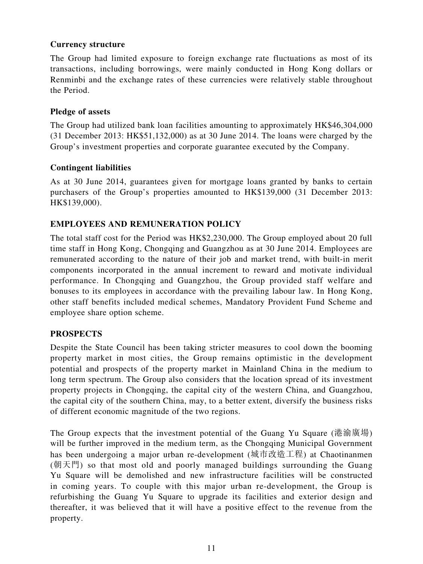### **Currency structure**

The Group had limited exposure to foreign exchange rate fluctuations as most of its transactions, including borrowings, were mainly conducted in Hong Kong dollars or Renminbi and the exchange rates of these currencies were relatively stable throughout the Period.

#### **Pledge of assets**

The Group had utilized bank loan facilities amounting to approximately HK\$46,304,000 (31 December 2013: HK\$51,132,000) as at 30 June 2014. The loans were charged by the Group's investment properties and corporate guarantee executed by the Company.

### **Contingent liabilities**

As at 30 June 2014, guarantees given for mortgage loans granted by banks to certain purchasers of the Group's properties amounted to HK\$139,000 (31 December 2013: HK\$139,000).

### **EMPLOYEES AND REMUNERATION POLICY**

The total staff cost for the Period was HK\$2,230,000. The Group employed about 20 full time staff in Hong Kong, Chongqing and Guangzhou as at 30 June 2014. Employees are remunerated according to the nature of their job and market trend, with built-in merit components incorporated in the annual increment to reward and motivate individual performance. In Chongqing and Guangzhou, the Group provided staff welfare and bonuses to its employees in accordance with the prevailing labour law. In Hong Kong, other staff benefits included medical schemes, Mandatory Provident Fund Scheme and employee share option scheme.

### **PROSPECTS**

Despite the State Council has been taking stricter measures to cool down the booming property market in most cities, the Group remains optimistic in the development potential and prospects of the property market in Mainland China in the medium to long term spectrum. The Group also considers that the location spread of its investment property projects in Chongqing, the capital city of the western China, and Guangzhou, the capital city of the southern China, may, to a better extent, diversify the business risks of different economic magnitude of the two regions.

The Group expects that the investment potential of the Guang Yu Square (港渝廣場) will be further improved in the medium term, as the Chongqing Municipal Government has been undergoing a major urban re-development (城市改造工程) at Chaotinanmen (朝天門) so that most old and poorly managed buildings surrounding the Guang Yu Square will be demolished and new infrastructure facilities will be constructed in coming years. To couple with this major urban re-development, the Group is refurbishing the Guang Yu Square to upgrade its facilities and exterior design and thereafter, it was believed that it will have a positive effect to the revenue from the property.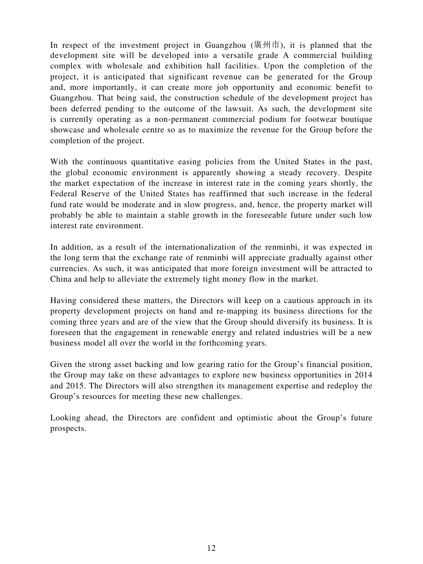In respect of the investment project in Guangzhou (廣州市), it is planned that the development site will be developed into a versatile grade A commercial building complex with wholesale and exhibition hall facilities. Upon the completion of the project, it is anticipated that significant revenue can be generated for the Group and, more importantly, it can create more job opportunity and economic benefit to Guangzhou. That being said, the construction schedule of the development project has been deferred pending to the outcome of the lawsuit. As such, the development site is currently operating as a non-permanent commercial podium for footwear boutique showcase and wholesale centre so as to maximize the revenue for the Group before the completion of the project.

With the continuous quantitative easing policies from the United States in the past, the global economic environment is apparently showing a steady recovery. Despite the market expectation of the increase in interest rate in the coming years shortly, the Federal Reserve of the United States has reaffirmed that such increase in the federal fund rate would be moderate and in slow progress, and, hence, the property market will probably be able to maintain a stable growth in the foreseeable future under such low interest rate environment.

In addition, as a result of the internationalization of the renminbi, it was expected in the long term that the exchange rate of renminbi will appreciate gradually against other currencies. As such, it was anticipated that more foreign investment will be attracted to China and help to alleviate the extremely tight money flow in the market.

Having considered these matters, the Directors will keep on a cautious approach in its property development projects on hand and re-mapping its business directions for the coming three years and are of the view that the Group should diversify its business. It is foreseen that the engagement in renewable energy and related industries will be a new business model all over the world in the forthcoming years.

Given the strong asset backing and low gearing ratio for the Group's financial position, the Group may take on these advantages to explore new business opportunities in 2014 and 2015. The Directors will also strengthen its management expertise and redeploy the Group's resources for meeting these new challenges.

Looking ahead, the Directors are confident and optimistic about the Group's future prospects.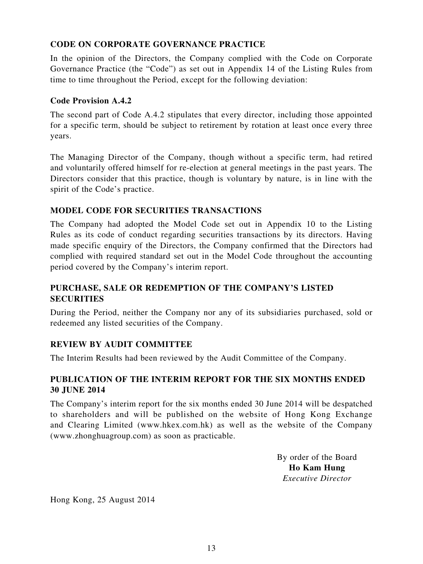### **CODE ON CORPORATE GOVERNANCE PRACTICE**

In the opinion of the Directors, the Company complied with the Code on Corporate Governance Practice (the "Code") as set out in Appendix 14 of the Listing Rules from time to time throughout the Period, except for the following deviation:

### **Code Provision A.4.2**

The second part of Code A.4.2 stipulates that every director, including those appointed for a specific term, should be subject to retirement by rotation at least once every three years.

The Managing Director of the Company, though without a specific term, had retired and voluntarily offered himself for re-election at general meetings in the past years. The Directors consider that this practice, though is voluntary by nature, is in line with the spirit of the Code's practice.

### **MODEL CODE FOR SECURITIES TRANSACTIONS**

The Company had adopted the Model Code set out in Appendix 10 to the Listing Rules as its code of conduct regarding securities transactions by its directors. Having made specific enquiry of the Directors, the Company confirmed that the Directors had complied with required standard set out in the Model Code throughout the accounting period covered by the Company's interim report.

### **PURCHASE, SALE OR REDEMPTION OF THE COMPANY'S LISTED SECURITIES**

During the Period, neither the Company nor any of its subsidiaries purchased, sold or redeemed any listed securities of the Company.

### **REVIEW BY AUDIT COMMITTEE**

The Interim Results had been reviewed by the Audit Committee of the Company.

### **PUBLICATION OF THE INTERIM REPORT FOR THE SIX MONTHS ENDED 30 JUNE 2014**

The Company's interim report for the six months ended 30 June 2014 will be despatched to shareholders and will be published on the website of Hong Kong Exchange and Clearing Limited (www.hkex.com.hk) as well as the website of the Company (www.zhonghuagroup.com) as soon as practicable.

> By order of the Board **Ho Kam Hung** *Executive Director*

Hong Kong, 25 August 2014